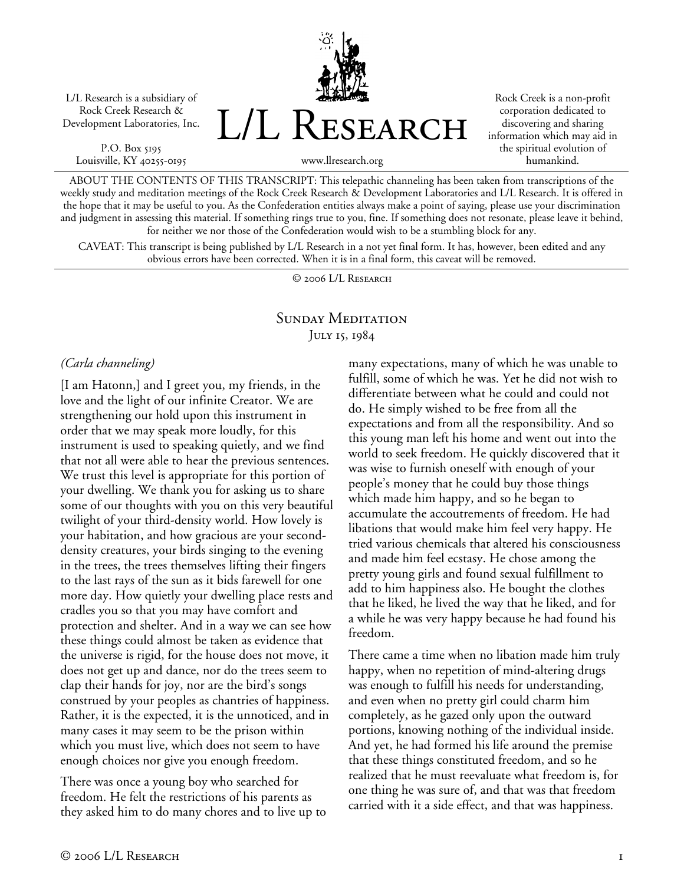L/L Research is a subsidiary of Rock Creek Research & Development Laboratories, Inc.

P.O. Box 5195 Louisville, KY 40255-0195 L/L Research

Rock Creek is a non-profit corporation dedicated to discovering and sharing information which may aid in the spiritual evolution of humankind.

ABOUT THE CONTENTS OF THIS TRANSCRIPT: This telepathic channeling has been taken from transcriptions of the weekly study and meditation meetings of the Rock Creek Research & Development Laboratories and L/L Research. It is offered in the hope that it may be useful to you. As the Confederation entities always make a point of saying, please use your discrimination and judgment in assessing this material. If something rings true to you, fine. If something does not resonate, please leave it behind, for neither we nor those of the Confederation would wish to be a stumbling block for any.

www.llresearch.org

CAVEAT: This transcript is being published by L/L Research in a not yet final form. It has, however, been edited and any obvious errors have been corrected. When it is in a final form, this caveat will be removed.

© 2006 L/L Research

## SUNDAY MEDITATION July 15, 1984

### *(Carla channeling)*

[I am Hatonn,] and I greet you, my friends, in the love and the light of our infinite Creator. We are strengthening our hold upon this instrument in order that we may speak more loudly, for this instrument is used to speaking quietly, and we find that not all were able to hear the previous sentences. We trust this level is appropriate for this portion of your dwelling. We thank you for asking us to share some of our thoughts with you on this very beautiful twilight of your third-density world. How lovely is your habitation, and how gracious are your seconddensity creatures, your birds singing to the evening in the trees, the trees themselves lifting their fingers to the last rays of the sun as it bids farewell for one more day. How quietly your dwelling place rests and cradles you so that you may have comfort and protection and shelter. And in a way we can see how these things could almost be taken as evidence that the universe is rigid, for the house does not move, it does not get up and dance, nor do the trees seem to clap their hands for joy, nor are the bird's songs construed by your peoples as chantries of happiness. Rather, it is the expected, it is the unnoticed, and in many cases it may seem to be the prison within which you must live, which does not seem to have enough choices nor give you enough freedom.

There was once a young boy who searched for freedom. He felt the restrictions of his parents as they asked him to do many chores and to live up to many expectations, many of which he was unable to fulfill, some of which he was. Yet he did not wish to differentiate between what he could and could not do. He simply wished to be free from all the expectations and from all the responsibility. And so this young man left his home and went out into the world to seek freedom. He quickly discovered that it was wise to furnish oneself with enough of your people's money that he could buy those things which made him happy, and so he began to accumulate the accoutrements of freedom. He had libations that would make him feel very happy. He tried various chemicals that altered his consciousness and made him feel ecstasy. He chose among the pretty young girls and found sexual fulfillment to add to him happiness also. He bought the clothes that he liked, he lived the way that he liked, and for a while he was very happy because he had found his freedom.

There came a time when no libation made him truly happy, when no repetition of mind-altering drugs was enough to fulfill his needs for understanding, and even when no pretty girl could charm him completely, as he gazed only upon the outward portions, knowing nothing of the individual inside. And yet, he had formed his life around the premise that these things constituted freedom, and so he realized that he must reevaluate what freedom is, for one thing he was sure of, and that was that freedom carried with it a side effect, and that was happiness.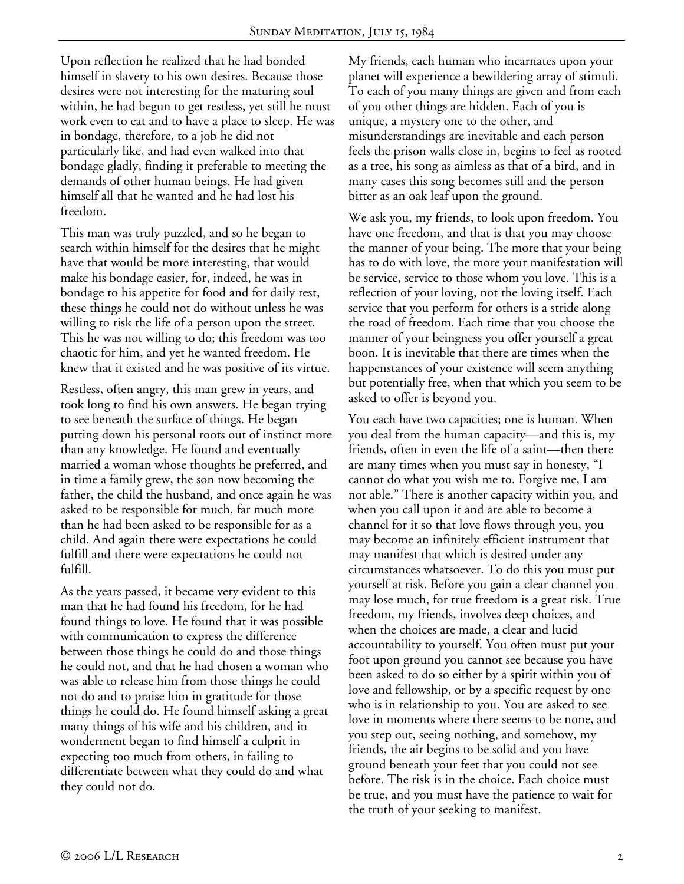Upon reflection he realized that he had bonded himself in slavery to his own desires. Because those desires were not interesting for the maturing soul within, he had begun to get restless, yet still he must work even to eat and to have a place to sleep. He was in bondage, therefore, to a job he did not particularly like, and had even walked into that bondage gladly, finding it preferable to meeting the demands of other human beings. He had given himself all that he wanted and he had lost his freedom.

This man was truly puzzled, and so he began to search within himself for the desires that he might have that would be more interesting, that would make his bondage easier, for, indeed, he was in bondage to his appetite for food and for daily rest, these things he could not do without unless he was willing to risk the life of a person upon the street. This he was not willing to do; this freedom was too chaotic for him, and yet he wanted freedom. He knew that it existed and he was positive of its virtue.

Restless, often angry, this man grew in years, and took long to find his own answers. He began trying to see beneath the surface of things. He began putting down his personal roots out of instinct more than any knowledge. He found and eventually married a woman whose thoughts he preferred, and in time a family grew, the son now becoming the father, the child the husband, and once again he was asked to be responsible for much, far much more than he had been asked to be responsible for as a child. And again there were expectations he could fulfill and there were expectations he could not fulfill.

As the years passed, it became very evident to this man that he had found his freedom, for he had found things to love. He found that it was possible with communication to express the difference between those things he could do and those things he could not, and that he had chosen a woman who was able to release him from those things he could not do and to praise him in gratitude for those things he could do. He found himself asking a great many things of his wife and his children, and in wonderment began to find himself a culprit in expecting too much from others, in failing to differentiate between what they could do and what they could not do.

My friends, each human who incarnates upon your planet will experience a bewildering array of stimuli. To each of you many things are given and from each of you other things are hidden. Each of you is unique, a mystery one to the other, and misunderstandings are inevitable and each person feels the prison walls close in, begins to feel as rooted as a tree, his song as aimless as that of a bird, and in many cases this song becomes still and the person bitter as an oak leaf upon the ground.

We ask you, my friends, to look upon freedom. You have one freedom, and that is that you may choose the manner of your being. The more that your being has to do with love, the more your manifestation will be service, service to those whom you love. This is a reflection of your loving, not the loving itself. Each service that you perform for others is a stride along the road of freedom. Each time that you choose the manner of your beingness you offer yourself a great boon. It is inevitable that there are times when the happenstances of your existence will seem anything but potentially free, when that which you seem to be asked to offer is beyond you.

You each have two capacities; one is human. When you deal from the human capacity—and this is, my friends, often in even the life of a saint—then there are many times when you must say in honesty, "I cannot do what you wish me to. Forgive me, I am not able." There is another capacity within you, and when you call upon it and are able to become a channel for it so that love flows through you, you may become an infinitely efficient instrument that may manifest that which is desired under any circumstances whatsoever. To do this you must put yourself at risk. Before you gain a clear channel you may lose much, for true freedom is a great risk. True freedom, my friends, involves deep choices, and when the choices are made, a clear and lucid accountability to yourself. You often must put your foot upon ground you cannot see because you have been asked to do so either by a spirit within you of love and fellowship, or by a specific request by one who is in relationship to you. You are asked to see love in moments where there seems to be none, and you step out, seeing nothing, and somehow, my friends, the air begins to be solid and you have ground beneath your feet that you could not see before. The risk is in the choice. Each choice must be true, and you must have the patience to wait for the truth of your seeking to manifest.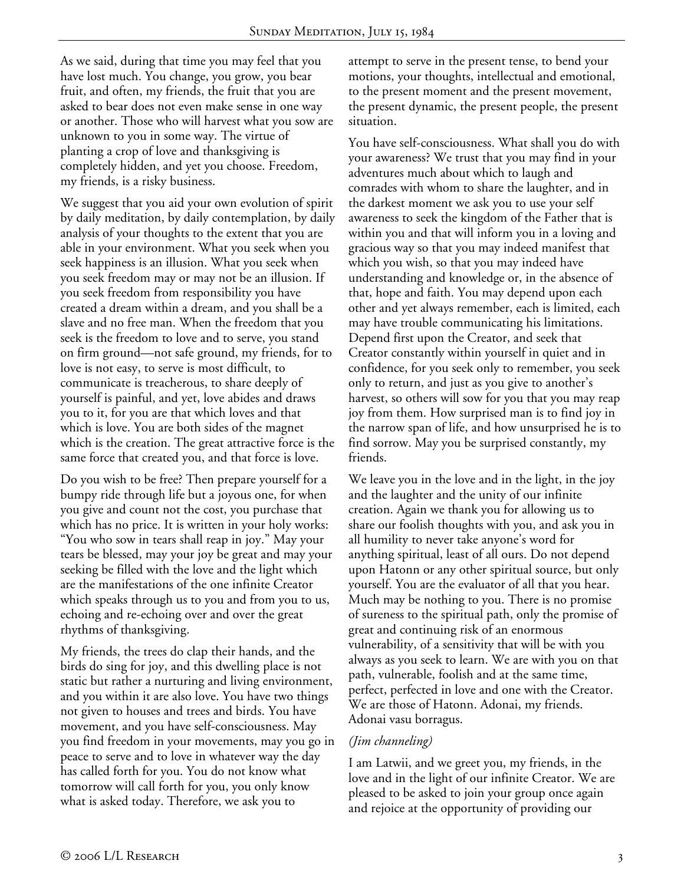As we said, during that time you may feel that you have lost much. You change, you grow, you bear fruit, and often, my friends, the fruit that you are asked to bear does not even make sense in one way or another. Those who will harvest what you sow are unknown to you in some way. The virtue of planting a crop of love and thanksgiving is completely hidden, and yet you choose. Freedom, my friends, is a risky business.

We suggest that you aid your own evolution of spirit by daily meditation, by daily contemplation, by daily analysis of your thoughts to the extent that you are able in your environment. What you seek when you seek happiness is an illusion. What you seek when you seek freedom may or may not be an illusion. If you seek freedom from responsibility you have created a dream within a dream, and you shall be a slave and no free man. When the freedom that you seek is the freedom to love and to serve, you stand on firm ground—not safe ground, my friends, for to love is not easy, to serve is most difficult, to communicate is treacherous, to share deeply of yourself is painful, and yet, love abides and draws you to it, for you are that which loves and that which is love. You are both sides of the magnet which is the creation. The great attractive force is the same force that created you, and that force is love.

Do you wish to be free? Then prepare yourself for a bumpy ride through life but a joyous one, for when you give and count not the cost, you purchase that which has no price. It is written in your holy works: "You who sow in tears shall reap in joy." May your tears be blessed, may your joy be great and may your seeking be filled with the love and the light which are the manifestations of the one infinite Creator which speaks through us to you and from you to us, echoing and re-echoing over and over the great rhythms of thanksgiving.

My friends, the trees do clap their hands, and the birds do sing for joy, and this dwelling place is not static but rather a nurturing and living environment, and you within it are also love. You have two things not given to houses and trees and birds. You have movement, and you have self-consciousness. May you find freedom in your movements, may you go in peace to serve and to love in whatever way the day has called forth for you. You do not know what tomorrow will call forth for you, you only know what is asked today. Therefore, we ask you to

attempt to serve in the present tense, to bend your motions, your thoughts, intellectual and emotional, to the present moment and the present movement, the present dynamic, the present people, the present situation.

You have self-consciousness. What shall you do with your awareness? We trust that you may find in your adventures much about which to laugh and comrades with whom to share the laughter, and in the darkest moment we ask you to use your self awareness to seek the kingdom of the Father that is within you and that will inform you in a loving and gracious way so that you may indeed manifest that which you wish, so that you may indeed have understanding and knowledge or, in the absence of that, hope and faith. You may depend upon each other and yet always remember, each is limited, each may have trouble communicating his limitations. Depend first upon the Creator, and seek that Creator constantly within yourself in quiet and in confidence, for you seek only to remember, you seek only to return, and just as you give to another's harvest, so others will sow for you that you may reap joy from them. How surprised man is to find joy in the narrow span of life, and how unsurprised he is to find sorrow. May you be surprised constantly, my friends.

We leave you in the love and in the light, in the joy and the laughter and the unity of our infinite creation. Again we thank you for allowing us to share our foolish thoughts with you, and ask you in all humility to never take anyone's word for anything spiritual, least of all ours. Do not depend upon Hatonn or any other spiritual source, but only yourself. You are the evaluator of all that you hear. Much may be nothing to you. There is no promise of sureness to the spiritual path, only the promise of great and continuing risk of an enormous vulnerability, of a sensitivity that will be with you always as you seek to learn. We are with you on that path, vulnerable, foolish and at the same time, perfect, perfected in love and one with the Creator. We are those of Hatonn. Adonai, my friends. Adonai vasu borragus.

### *(Jim channeling)*

I am Latwii, and we greet you, my friends, in the love and in the light of our infinite Creator. We are pleased to be asked to join your group once again and rejoice at the opportunity of providing our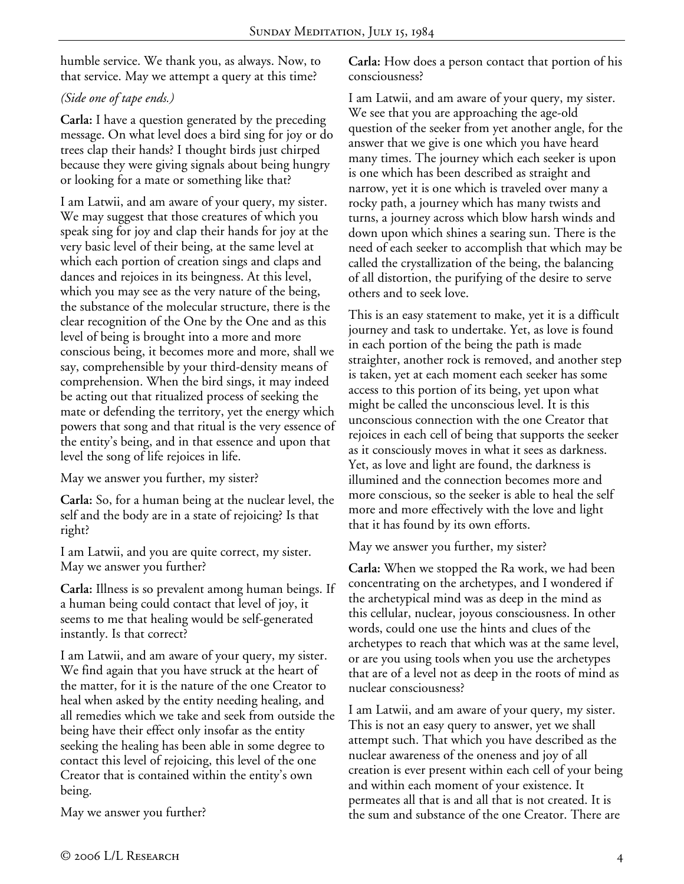humble service. We thank you, as always. Now, to that service. May we attempt a query at this time?

# *(Side one of tape ends.)*

**Carla:** I have a question generated by the preceding message. On what level does a bird sing for joy or do trees clap their hands? I thought birds just chirped because they were giving signals about being hungry or looking for a mate or something like that?

I am Latwii, and am aware of your query, my sister. We may suggest that those creatures of which you speak sing for joy and clap their hands for joy at the very basic level of their being, at the same level at which each portion of creation sings and claps and dances and rejoices in its beingness. At this level, which you may see as the very nature of the being, the substance of the molecular structure, there is the clear recognition of the One by the One and as this level of being is brought into a more and more conscious being, it becomes more and more, shall we say, comprehensible by your third-density means of comprehension. When the bird sings, it may indeed be acting out that ritualized process of seeking the mate or defending the territory, yet the energy which powers that song and that ritual is the very essence of the entity's being, and in that essence and upon that level the song of life rejoices in life.

May we answer you further, my sister?

**Carla:** So, for a human being at the nuclear level, the self and the body are in a state of rejoicing? Is that right?

I am Latwii, and you are quite correct, my sister. May we answer you further?

**Carla:** Illness is so prevalent among human beings. If a human being could contact that level of joy, it seems to me that healing would be self-generated instantly. Is that correct?

I am Latwii, and am aware of your query, my sister. We find again that you have struck at the heart of the matter, for it is the nature of the one Creator to heal when asked by the entity needing healing, and all remedies which we take and seek from outside the being have their effect only insofar as the entity seeking the healing has been able in some degree to contact this level of rejoicing, this level of the one Creator that is contained within the entity's own being.

May we answer you further?

**Carla:** How does a person contact that portion of his consciousness?

I am Latwii, and am aware of your query, my sister. We see that you are approaching the age-old question of the seeker from yet another angle, for the answer that we give is one which you have heard many times. The journey which each seeker is upon is one which has been described as straight and narrow, yet it is one which is traveled over many a rocky path, a journey which has many twists and turns, a journey across which blow harsh winds and down upon which shines a searing sun. There is the need of each seeker to accomplish that which may be called the crystallization of the being, the balancing of all distortion, the purifying of the desire to serve others and to seek love.

This is an easy statement to make, yet it is a difficult journey and task to undertake. Yet, as love is found in each portion of the being the path is made straighter, another rock is removed, and another step is taken, yet at each moment each seeker has some access to this portion of its being, yet upon what might be called the unconscious level. It is this unconscious connection with the one Creator that rejoices in each cell of being that supports the seeker as it consciously moves in what it sees as darkness. Yet, as love and light are found, the darkness is illumined and the connection becomes more and more conscious, so the seeker is able to heal the self more and more effectively with the love and light that it has found by its own efforts.

May we answer you further, my sister?

**Carla:** When we stopped the Ra work, we had been concentrating on the archetypes, and I wondered if the archetypical mind was as deep in the mind as this cellular, nuclear, joyous consciousness. In other words, could one use the hints and clues of the archetypes to reach that which was at the same level, or are you using tools when you use the archetypes that are of a level not as deep in the roots of mind as nuclear consciousness?

I am Latwii, and am aware of your query, my sister. This is not an easy query to answer, yet we shall attempt such. That which you have described as the nuclear awareness of the oneness and joy of all creation is ever present within each cell of your being and within each moment of your existence. It permeates all that is and all that is not created. It is the sum and substance of the one Creator. There are